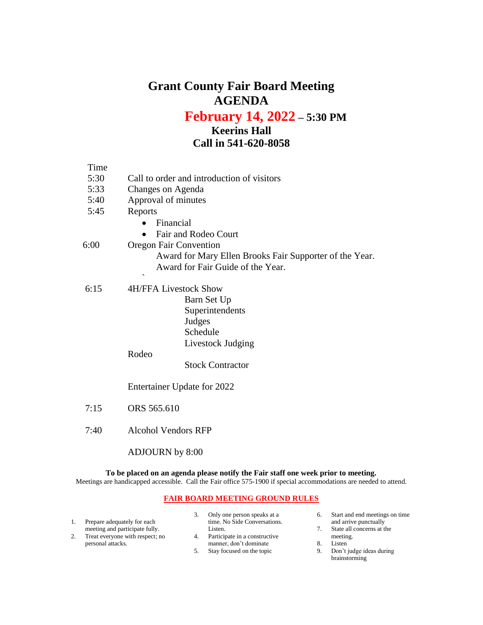## **Grant County Fair Board Meeting AGENDA**

**February 14, 2022 – 5:30 PM**

## **Keerins Hall Call in 541-620-8058**

| Time |                                                         |  |  |  |  |  |
|------|---------------------------------------------------------|--|--|--|--|--|
| 5:30 | Call to order and introduction of visitors              |  |  |  |  |  |
| 5:33 | Changes on Agenda                                       |  |  |  |  |  |
| 5:40 | Approval of minutes                                     |  |  |  |  |  |
| 5:45 | Reports                                                 |  |  |  |  |  |
|      | Financial                                               |  |  |  |  |  |
|      | Fair and Rodeo Court                                    |  |  |  |  |  |
| 6:00 | <b>Oregon Fair Convention</b>                           |  |  |  |  |  |
|      | Award for Mary Ellen Brooks Fair Supporter of the Year. |  |  |  |  |  |
|      | Award for Fair Guide of the Year.                       |  |  |  |  |  |
|      | $\overline{\phantom{0}}$                                |  |  |  |  |  |
| 6:15 | <b>4H/FFA Livestock Show</b>                            |  |  |  |  |  |
|      | Barn Set Up                                             |  |  |  |  |  |
|      | Superintendents                                         |  |  |  |  |  |
|      | Judges                                                  |  |  |  |  |  |
|      | Schedule                                                |  |  |  |  |  |
|      | Livestock Judging                                       |  |  |  |  |  |
|      | Rodeo                                                   |  |  |  |  |  |
|      | <b>Stock Contractor</b>                                 |  |  |  |  |  |
|      |                                                         |  |  |  |  |  |
|      | Entertainer Update for 2022                             |  |  |  |  |  |
|      |                                                         |  |  |  |  |  |
| 7:15 | ORS 565.610                                             |  |  |  |  |  |
|      |                                                         |  |  |  |  |  |
| 7:40 | Alcohol Vendors RFP                                     |  |  |  |  |  |

ADJOURN by 8:00

**To be placed on an agenda please notify the Fair staff one week prior to meeting.** Meetings are handicapped accessible. Call the Fair office 575-1900 if special accommodations are needed to attend.

## **FAIR BOARD MEETING GROUND RULES**

|  |                                 | Only one person speaks at a   | 6. | Start and end meetings on time |
|--|---------------------------------|-------------------------------|----|--------------------------------|
|  | Prepare adequately for each     | time. No Side Conversations.  |    | and arrive punctually          |
|  | meeting and participate fully.  | Listen.                       |    | State all concerns at the      |
|  | Treat everyone with respect; no | Participate in a constructive |    | meeting.                       |
|  | personal attacks.               | manner, don't dominate        | 8  | Listen                         |
|  |                                 | Stay focused on the topic     | 9. | Don't judge ideas during       |
|  |                                 |                               |    | brainstorming                  |